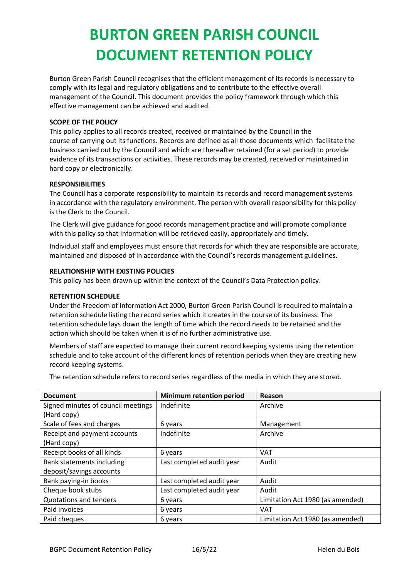## **BURTON GREEN PARISH COUNCIL DOCUMENT RETENTION POLICY**

Burton Green Parish Council recognises that the efficient management of its records is necessary to comply with its legal and regulatory obligations and to contribute to the effective overall management of the Council. This document provides the policy framework through which this effective management can be achieved and audited.

### **SCOPE OF THE POLICY**

This policy applies to all records created, received or maintained by the Council in the course of carrying out its functions. Records are defined as all those documents which facilitate the business carried out by the Council and which are thereafter retained (for a set period) to provide evidence of its transactions or activities. These records may be created, received or maintained in hard copy or electronically.

#### **RESPONSIBILITIES**

The Council has a corporate responsibility to maintain its records and record management systems in accordance with the regulatory environment. The person with overall responsibility for this policy is the Clerk to the Council.

The Clerk will give guidance for good records management practice and will promote compliance with this policy so that information will be retrieved easily, appropriately and timely.

Individual staff and employees must ensure that records for which they are responsible are accurate, maintained and disposed of in accordance with the Council's records management guidelines.

## **RELATIONSHIP WITH EXISTING POLICIES**

This policy has been drawn up within the context of the Council's Data Protection policy.

#### **RETENTION SCHEDULE**

Under the Freedom of Information Act 2000, Burton Green Parish Council is required to maintain a retention schedule listing the record series which it creates in the course of its business. The retention schedule lays down the length of time which the record needs to be retained and the action which should be taken when it is of no further administrative use.

Members of staff are expected to manage their current record keeping systems using the retention schedule and to take account of the different kinds of retention periods when they are creating new record keeping systems.

The retention schedule refers to record series regardless of the media in which they are stored.

| <b>Document</b>                    | <b>Minimum retention period</b> | Reason                           |
|------------------------------------|---------------------------------|----------------------------------|
| Signed minutes of council meetings | Indefinite                      | Archive                          |
| (Hard copy)                        |                                 |                                  |
| Scale of fees and charges          | 6 years                         | Management                       |
| Receipt and payment accounts       | Indefinite                      | Archive                          |
| (Hard copy)                        |                                 |                                  |
| Receipt books of all kinds         | 6 years                         | <b>VAT</b>                       |
| Bank statements including          | Last completed audit year       | Audit                            |
| deposit/savings accounts           |                                 |                                  |
| Bank paying-in books               | Last completed audit year       | Audit                            |
| Cheque book stubs                  | Last completed audit year       | Audit                            |
| <b>Quotations and tenders</b>      | 6 years                         | Limitation Act 1980 (as amended) |
| Paid invoices                      | 6 years                         | VAT                              |
| Paid cheques                       | 6 years                         | Limitation Act 1980 (as amended) |